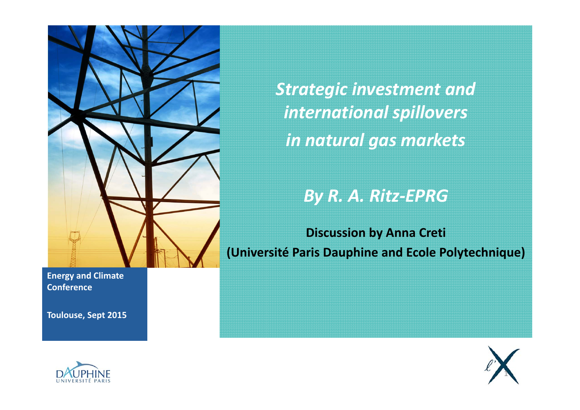

*Strategic investment and international spillovers in natural gas markets*

*By R. A. Ritz‐EPRG*

**Discussion by Anna Creti (Université Paris Dauphine and Ecole Polytechnique)**

**Energy and Climate Conference**

**Toulouse, Sept 2015**



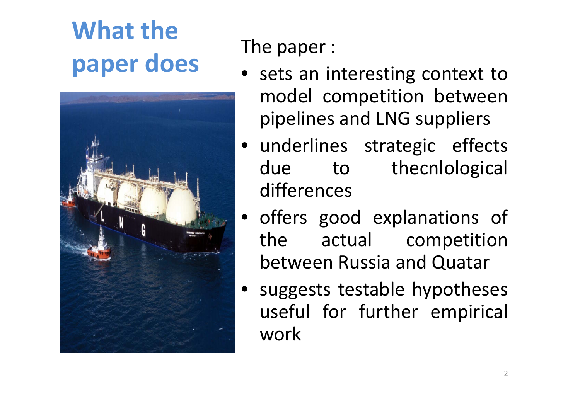# **What thepaper does**



The paper :

- sets an interesting context to model competition between pipelines and LNG suppliers
- underlines strategic effects due to the cnlological differences
- offers good explanations of the actual competition between Russia and Quatar
- suggests testable hypotheses useful for further empirical work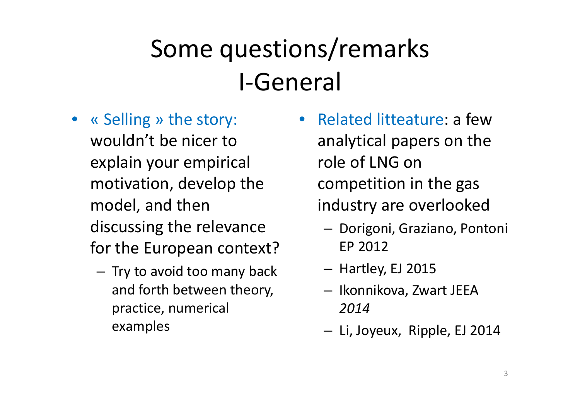### Some questions/remarks I‐General

- « Selling » the story: wouldn't be nicer toexplain your empirical motivation, develop the model, and then discussing the relevance for the European context?
	- – $-$  Try to avoid too many back and forth between theory, practice, numerical examples
- Related litteature: <sup>a</sup> fewanalytical papers on the role of LNG on competition in the gas industry are overlooked
	- Dorigoni, Graziano, Pontoni EP 2012
	- Hartley, EJ 2015
	- Ikonnikova, Zwart JEEA *2014*
	- Li, Joyeux, Ripple, EJ 2014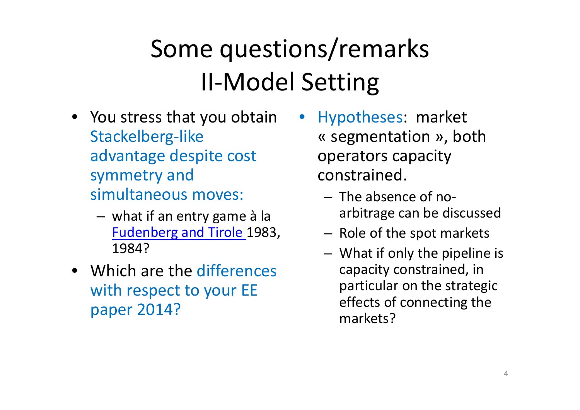## Some questions/remarks II ‐Model Setting

- You stress that you obtain Stackelberg ‐like advantage despite cost symmetry and simultaneous moves:
	- what if an entry game à la Fudenberg and Tirole 1983, 1984?
- Which are the differences with respect to your EE paper 2014?
- Hypotheses: market « segmentation », both operators capacity constrained.
	- The absence of no ‐arbitrage can be discussed
	- $-$  Role of the spot markets
	- What if only the pipeline is capacity constrained, in particular on the strategic effects of connecting the markets?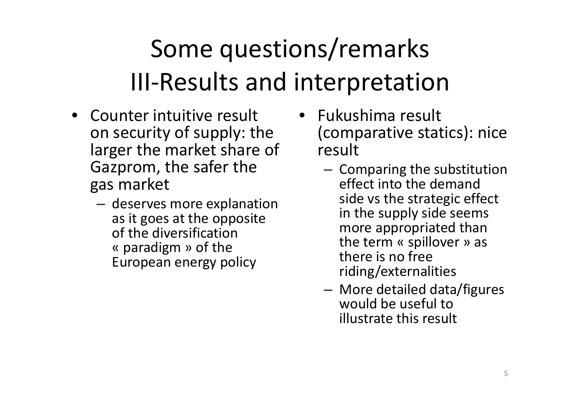### Some questions/remarks III ‐Results and interpretation

- Counter intuitive result on security of supply: the larger the market share of Gazprom, the safer the gas market
	- – deserves more explanation as it goes at the opposite of the diversification « paradigm » of the European energy policy
- Fukushima result (comparative statics): nice result
	- $-$  Comparing the substitution effect into the demandside vs the strategic effect in the supply side seems more appropriated than the term « spillover » as there is no free riding/externalities
	- More detailed data/figures would be useful toillustrate this result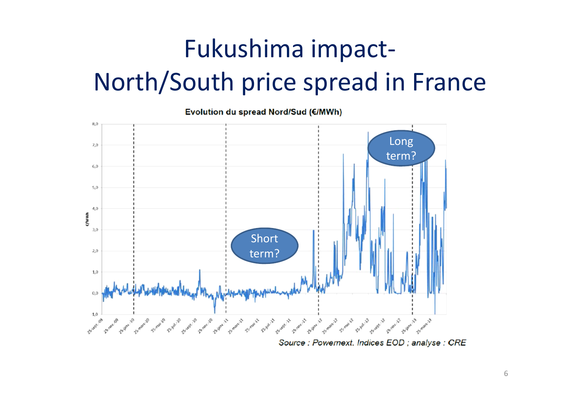#### Fukushima impact‐ North/South price spread in France

Evolution du spread Nord/Sud (€/MWh)



Source : Powernext. Indices EOD ; analyse : CRE